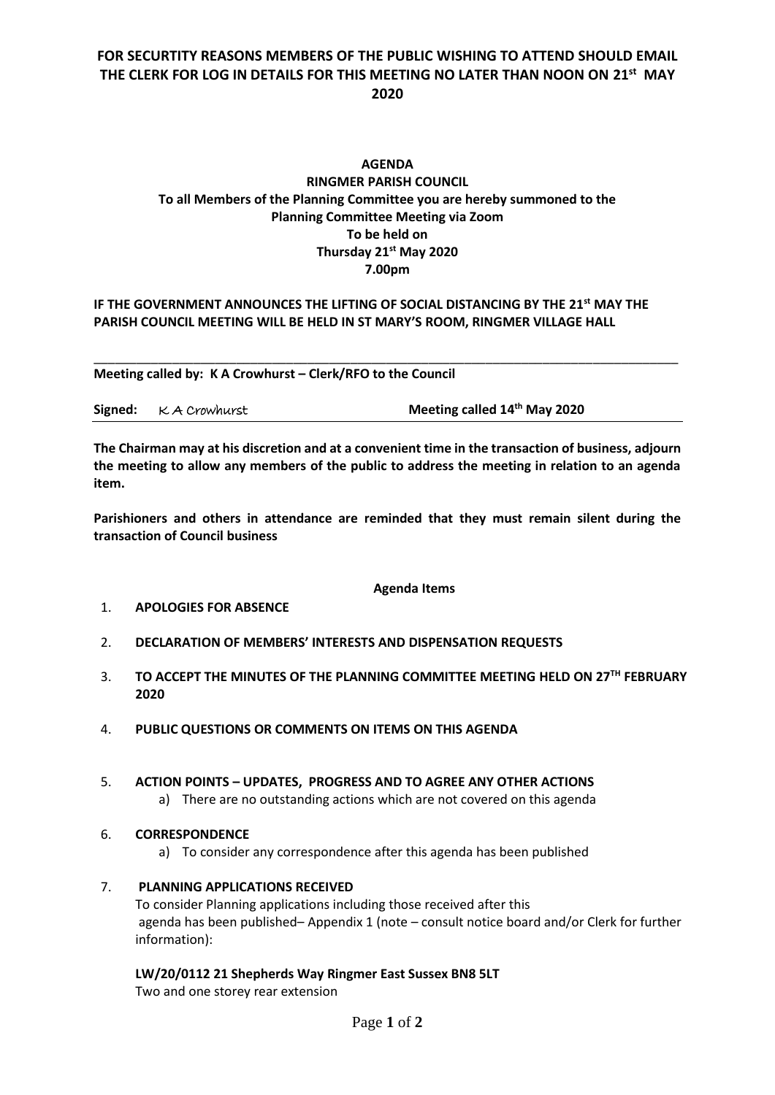## **FOR SECURTITY REASONS MEMBERS OF THE PUBLIC WISHING TO ATTEND SHOULD EMAIL THE CLERK FOR LOG IN DETAILS FOR THIS MEETING NO LATER THAN NOON ON 21st MAY 2020**

## **AGENDA RINGMER PARISH COUNCIL To all Members of the Planning Committee you are hereby summoned to the Planning Committee Meeting via Zoom To be held on Thursday 21st May 2020 7.00pm**

#### **IF THE GOVERNMENT ANNOUNCES THE LIFTING OF SOCIAL DISTANCING BY THE 21st MAY THE PARISH COUNCIL MEETING WILL BE HELD IN ST MARY'S ROOM, RINGMER VILLAGE HALL**

\_\_\_\_\_\_\_\_\_\_\_\_\_\_\_\_\_\_\_\_\_\_\_\_\_\_\_\_\_\_\_\_\_\_\_\_\_\_\_\_\_\_\_\_\_\_\_\_\_\_\_\_\_\_\_\_\_\_\_\_\_\_\_\_\_\_\_\_\_\_\_\_\_\_\_\_\_\_\_\_\_\_

**Meeting called by: K A Crowhurst – Clerk/RFO to the Council** 

|  | Signed: K A Crowhurst | Meeting called 14th May 2020 |
|--|-----------------------|------------------------------|
|--|-----------------------|------------------------------|

**The Chairman may at his discretion and at a convenient time in the transaction of business, adjourn the meeting to allow any members of the public to address the meeting in relation to an agenda item.**

**Parishioners and others in attendance are reminded that they must remain silent during the transaction of Council business**

#### **Agenda Items**

#### 1. **APOLOGIES FOR ABSENCE**

- 2. **DECLARATION OF MEMBERS' INTERESTS AND DISPENSATION REQUESTS**
- 3. **TO ACCEPT THE MINUTES OF THE PLANNING COMMITTEE MEETING HELD ON 27 TH FEBRUARY 2020**
- 4. **PUBLIC QUESTIONS OR COMMENTS ON ITEMS ON THIS AGENDA**

#### 5. **ACTION POINTS – UPDATES, PROGRESS AND TO AGREE ANY OTHER ACTIONS**

- a) There are no outstanding actions which are not covered on this agenda
- 6. **CORRESPONDENCE**
	- a) To consider any correspondence after this agenda has been published
- 7. **PLANNING APPLICATIONS RECEIVED**  To consider Planning applications including those received after this agenda has been published– Appendix 1 (note – consult notice board and/or Clerk for further information):

**LW/20/0112 21 Shepherds Way Ringmer East Sussex BN8 5LT** Two and one storey rear extension